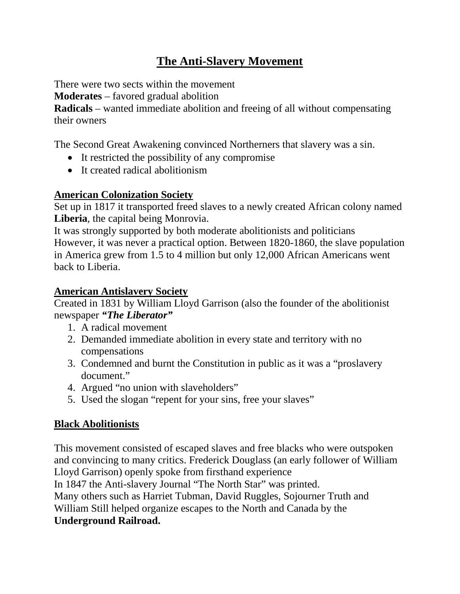# **The Anti-Slavery Movement**

There were two sects within the movement

**Moderates** – favored gradual abolition

**Radicals** – wanted immediate abolition and freeing of all without compensating their owners

The Second Great Awakening convinced Northerners that slavery was a sin.

- It restricted the possibility of any compromise
- It created radical abolitionism

### **American Colonization Society**

Set up in 1817 it transported freed slaves to a newly created African colony named **Liberia**, the capital being Monrovia.

It was strongly supported by both moderate abolitionists and politicians However, it was never a practical option. Between 1820-1860, the slave population in America grew from 1.5 to 4 million but only 12,000 African Americans went back to Liberia.

### **American Antislavery Society**

Created in 1831 by William Lloyd Garrison (also the founder of the abolitionist newspaper *"The Liberator"* 

- 1. A radical movement
- 2. Demanded immediate abolition in every state and territory with no compensations
- 3. Condemned and burnt the Constitution in public as it was a "proslavery document."
- 4. Argued "no union with slaveholders"
- 5. Used the slogan "repent for your sins, free your slaves"

## **Black Abolitionists**

This movement consisted of escaped slaves and free blacks who were outspoken and convincing to many critics. Frederick Douglass (an early follower of William Lloyd Garrison) openly spoke from firsthand experience

In 1847 the Anti-slavery Journal "The North Star" was printed.

Many others such as Harriet Tubman, David Ruggles, Sojourner Truth and

William Still helped organize escapes to the North and Canada by the **Underground Railroad.**